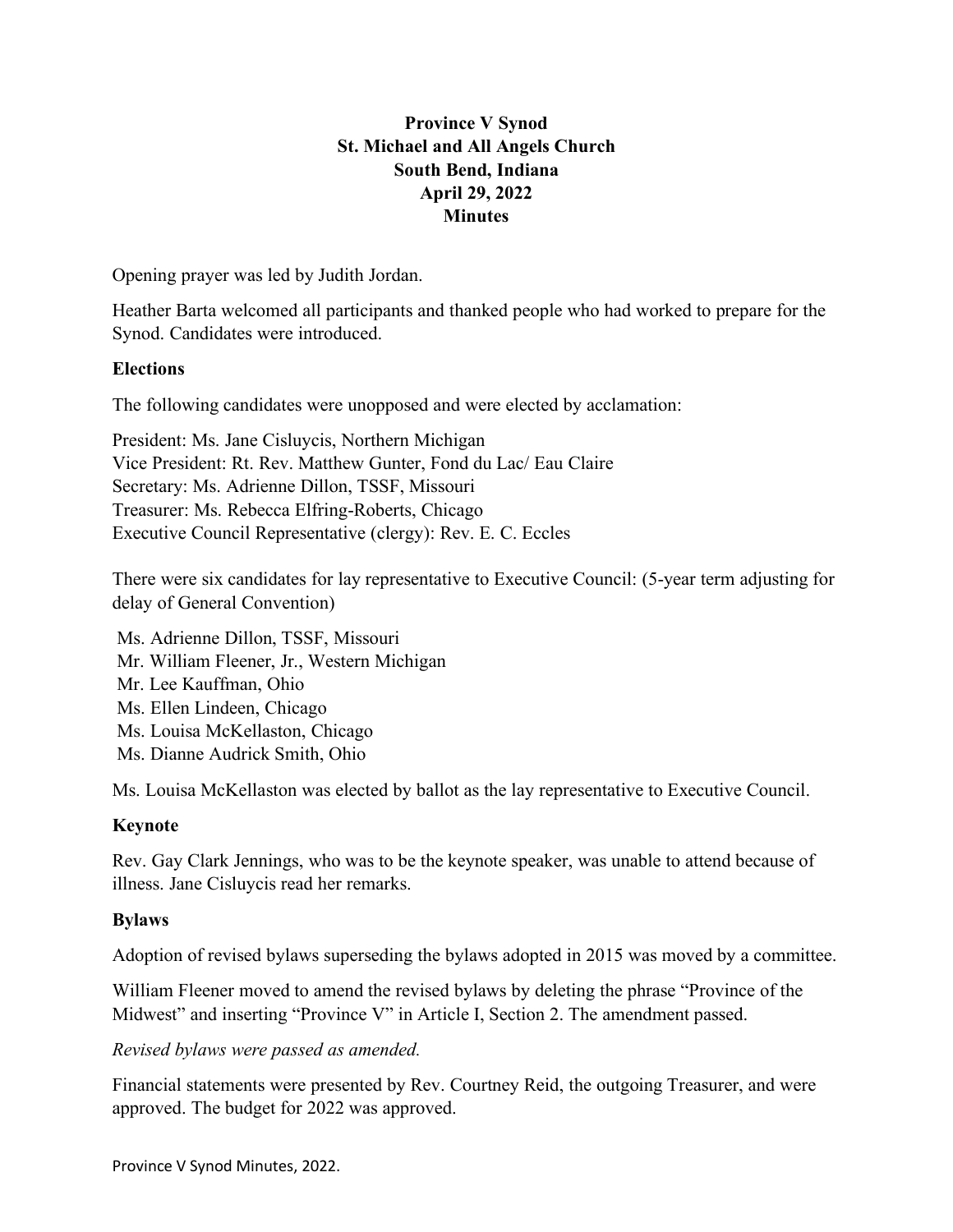# **Province V Synod St. Michael and All Angels Church South Bend, Indiana April 29, 2022 Minutes**

Opening prayer was led by Judith Jordan.

Heather Barta welcomed all participants and thanked people who had worked to prepare for the Synod. Candidates were introduced.

#### **Elections**

The following candidates were unopposed and were elected by acclamation:

President: Ms. Jane Cisluycis, Northern Michigan Vice President: Rt. Rev. Matthew Gunter, Fond du Lac/ Eau Claire Secretary: Ms. Adrienne Dillon, TSSF, Missouri Treasurer: Ms. Rebecca Elfring-Roberts, Chicago Executive Council Representative (clergy): Rev. E. C. Eccles

There were six candidates for lay representative to Executive Council: (5-year term adjusting for delay of General Convention)

Ms. Adrienne Dillon, TSSF, Missouri Mr. William Fleener, Jr., Western Michigan Mr. Lee Kauffman, Ohio Ms. Ellen Lindeen, Chicago Ms. Louisa McKellaston, Chicago Ms. Dianne Audrick Smith, Ohio

Ms. Louisa McKellaston was elected by ballot as the lay representative to Executive Council.

#### **Keynote**

Rev. Gay Clark Jennings, who was to be the keynote speaker, was unable to attend because of illness. Jane Cisluycis read her remarks.

#### **Bylaws**

Adoption of revised bylaws superseding the bylaws adopted in 2015 was moved by a committee.

William Fleener moved to amend the revised bylaws by deleting the phrase "Province of the Midwest" and inserting "Province V" in Article I, Section 2. The amendment passed.

#### *Revised bylaws were passed as amended.*

Financial statements were presented by Rev. Courtney Reid, the outgoing Treasurer, and were approved. The budget for 2022 was approved.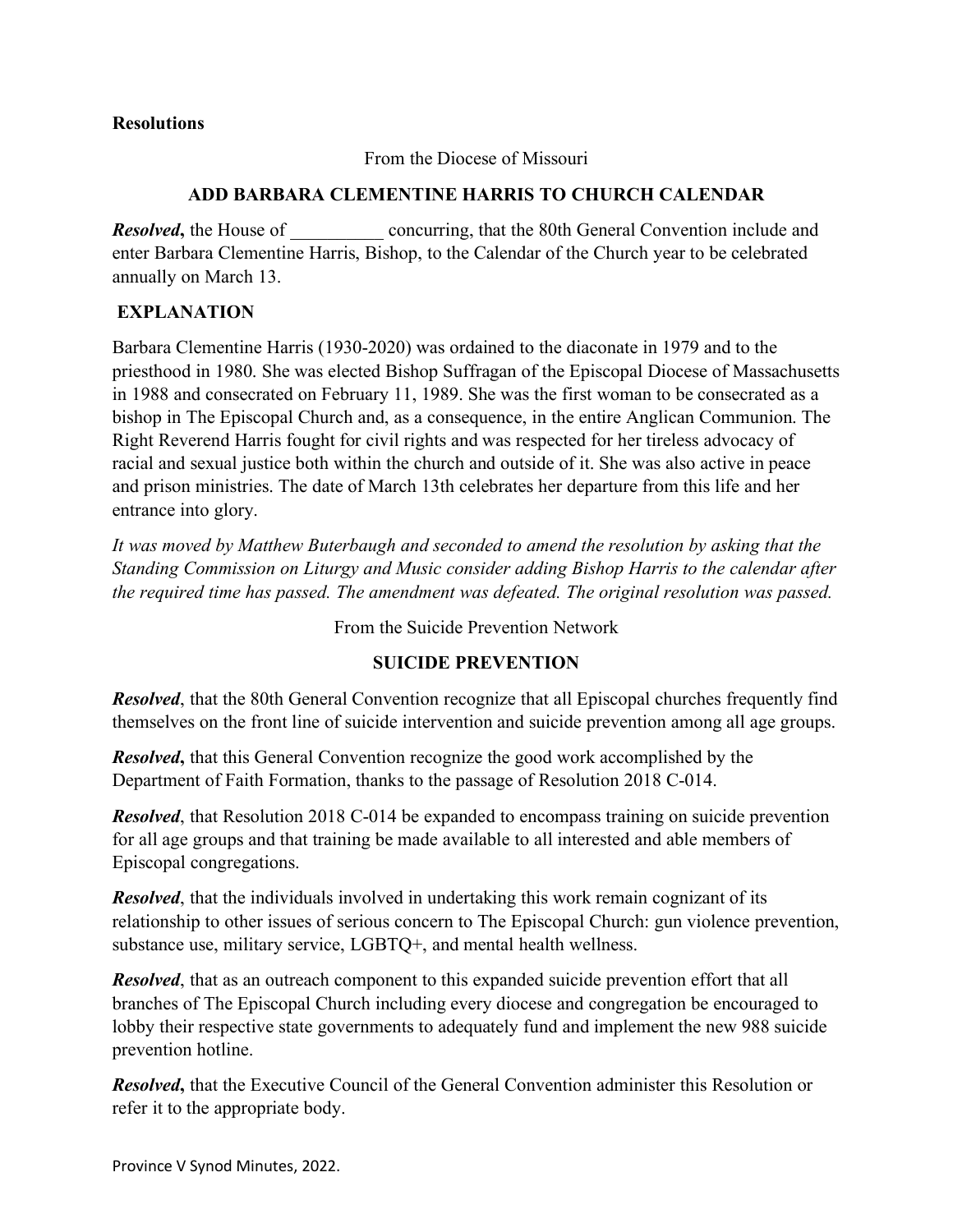#### **Resolutions**

From the Diocese of Missouri

### **ADD BARBARA CLEMENTINE HARRIS TO CHURCH CALENDAR**

**Resolved**, the House of concurring, that the 80th General Convention include and enter Barbara Clementine Harris, Bishop, to the Calendar of the Church year to be celebrated annually on March 13.

### **EXPLANATION**

Barbara Clementine Harris (1930-2020) was ordained to the diaconate in 1979 and to the priesthood in 1980. She was elected Bishop Suffragan of the Episcopal Diocese of Massachusetts in 1988 and consecrated on February 11, 1989. She was the first woman to be consecrated as a bishop in The Episcopal Church and, as a consequence, in the entire Anglican Communion. The Right Reverend Harris fought for civil rights and was respected for her tireless advocacy of racial and sexual justice both within the church and outside of it. She was also active in peace and prison ministries. The date of March 13th celebrates her departure from this life and her entrance into glory.

*It was moved by Matthew Buterbaugh and seconded to amend the resolution by asking that the Standing Commission on Liturgy and Music consider adding Bishop Harris to the calendar after the required time has passed. The amendment was defeated. The original resolution was passed.*

From the Suicide Prevention Network

### **SUICIDE PREVENTION**

*Resolved*, that the 80th General Convention recognize that all Episcopal churches frequently find themselves on the front line of suicide intervention and suicide prevention among all age groups.

*Resolved*, that this General Convention recognize the good work accomplished by the Department of Faith Formation, thanks to the passage of Resolution 2018 C-014.

*Resolved*, that Resolution 2018 C-014 be expanded to encompass training on suicide prevention for all age groups and that training be made available to all interested and able members of Episcopal congregations.

*Resolved*, that the individuals involved in undertaking this work remain cognizant of its relationship to other issues of serious concern to The Episcopal Church: gun violence prevention, substance use, military service, LGBTQ+, and mental health wellness.

*Resolved*, that as an outreach component to this expanded suicide prevention effort that all branches of The Episcopal Church including every diocese and congregation be encouraged to lobby their respective state governments to adequately fund and implement the new 988 suicide prevention hotline.

*Resolved***,** that the Executive Council of the General Convention administer this Resolution or refer it to the appropriate body.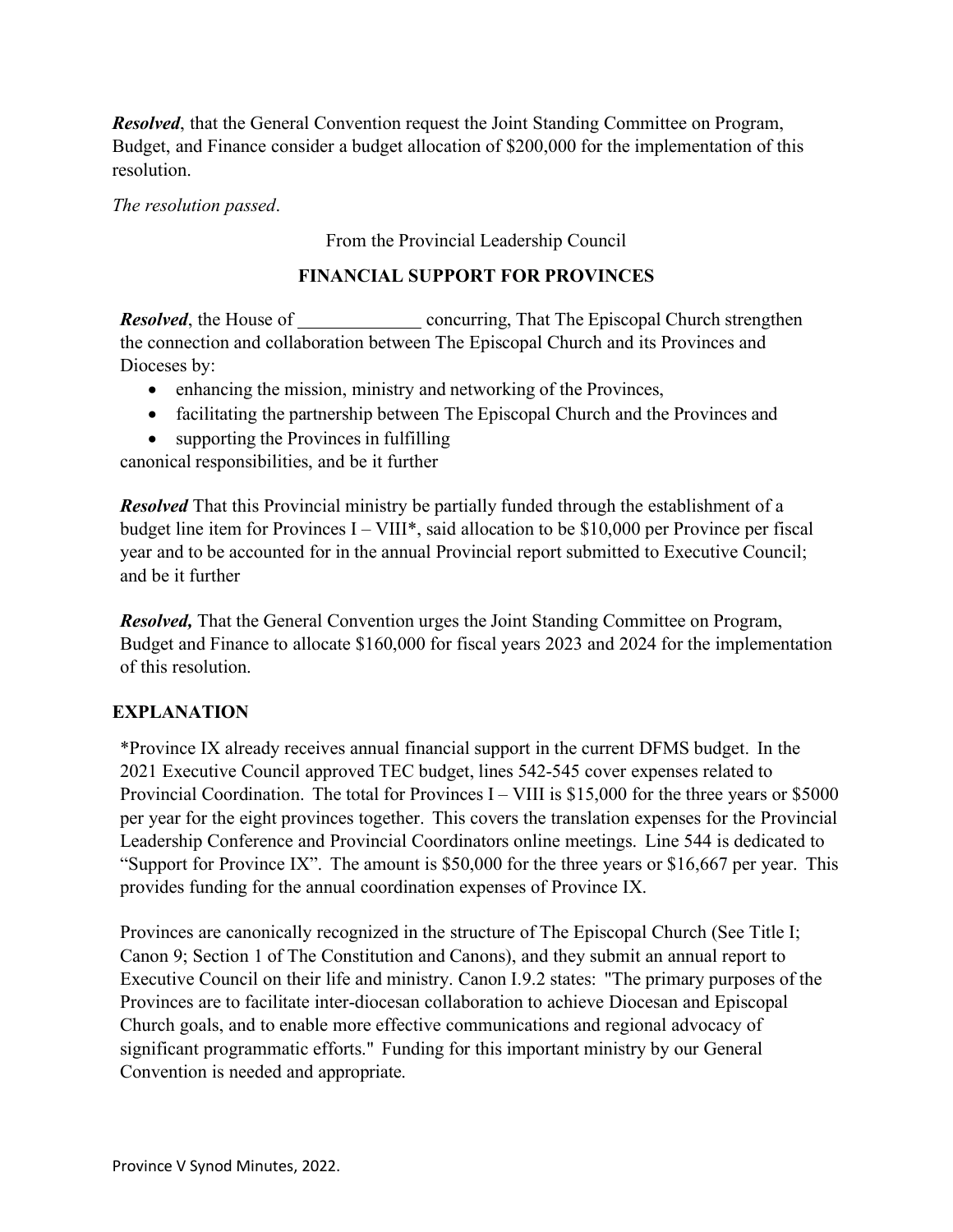*Resolved*, that the General Convention request the Joint Standing Committee on Program, Budget, and Finance consider a budget allocation of \$200,000 for the implementation of this resolution.

*The resolution passed*.

From the Provincial Leadership Council

### **FINANCIAL SUPPORT FOR PROVINCES**

*Resolved*, the House of \_\_\_\_\_\_\_\_\_\_\_\_\_\_\_\_\_\_\_\_ concurring, That The Episcopal Church strengthen the connection and collaboration between The Episcopal Church and its Provinces and Dioceses by:

- enhancing the mission, ministry and networking of the Provinces,
- facilitating the partnership between The Episcopal Church and the Provinces and
- supporting the Provinces in fulfilling

canonical responsibilities, and be it further

*Resolved* That this Provincial ministry be partially funded through the establishment of a budget line item for Provinces I – VIII\*, said allocation to be \$10,000 per Province per fiscal year and to be accounted for in the annual Provincial report submitted to Executive Council; and be it further

*Resolved,* That the General Convention urges the Joint Standing Committee on Program, Budget and Finance to allocate \$160,000 for fiscal years 2023 and 2024 for the implementation of this resolution.

# **EXPLANATION**

\*Province IX already receives annual financial support in the current DFMS budget. In the 2021 Executive Council approved TEC budget, lines 542-545 cover expenses related to Provincial Coordination. The total for Provinces I – VIII is \$15,000 for the three years or \$5000 per year for the eight provinces together. This covers the translation expenses for the Provincial Leadership Conference and Provincial Coordinators online meetings. Line 544 is dedicated to "Support for Province IX". The amount is \$50,000 for the three years or \$16,667 per year. This provides funding for the annual coordination expenses of Province IX.

Provinces are canonically recognized in the structure of The Episcopal Church (See Title I; Canon 9; Section 1 of The Constitution and Canons), and they submit an annual report to Executive Council on their life and ministry. Canon I.9.2 states: "The primary purposes of the Provinces are to facilitate inter-diocesan collaboration to achieve Diocesan and Episcopal Church goals, and to enable more effective communications and regional advocacy of significant programmatic efforts." Funding for this important ministry by our General Convention is needed and appropriate.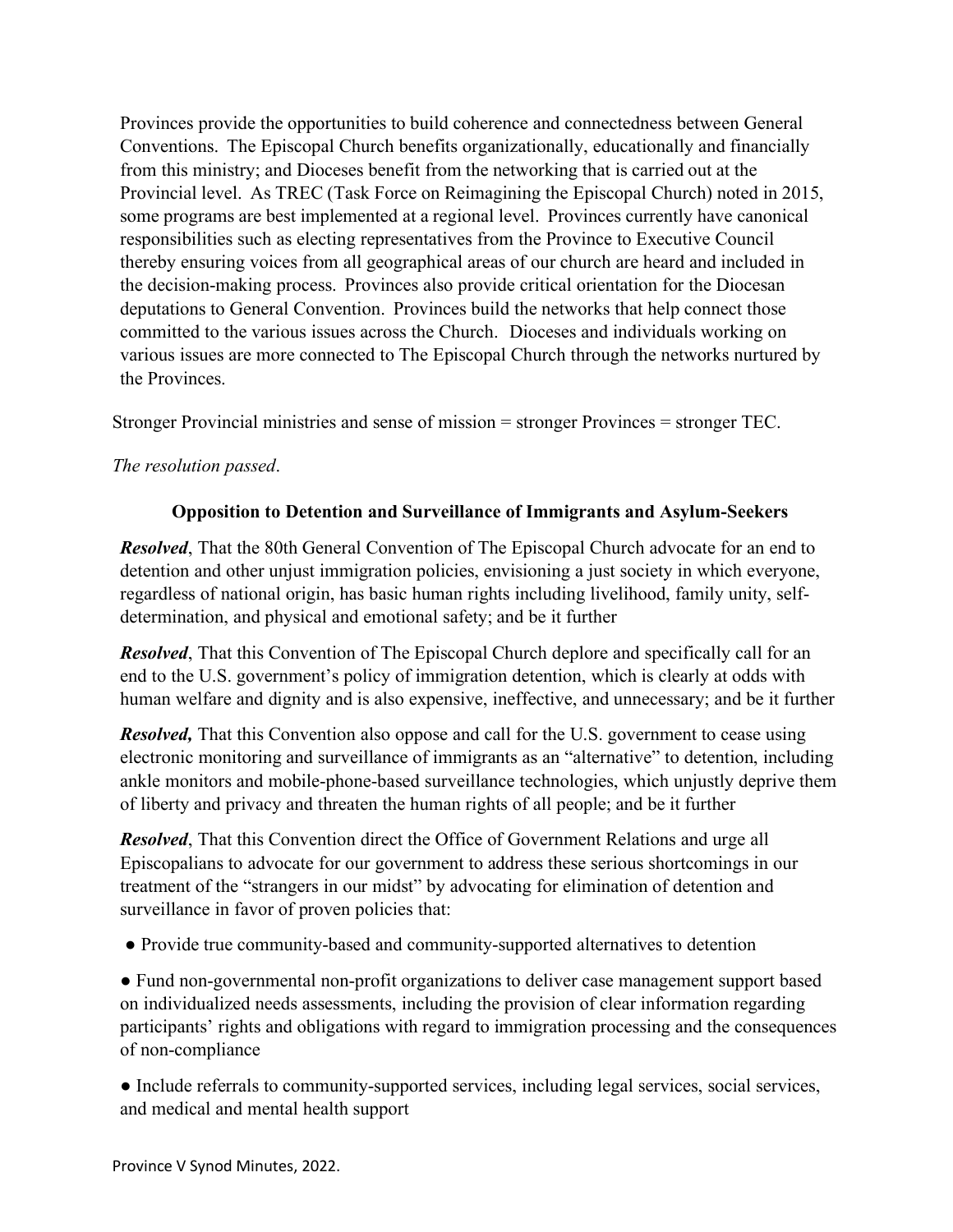Provinces provide the opportunities to build coherence and connectedness between General Conventions. The Episcopal Church benefits organizationally, educationally and financially from this ministry; and Dioceses benefit from the networking that is carried out at the Provincial level. As TREC (Task Force on Reimagining the Episcopal Church) noted in 2015, some programs are best implemented at a regional level. Provinces currently have canonical responsibilities such as electing representatives from the Province to Executive Council thereby ensuring voices from all geographical areas of our church are heard and included in the decision-making process. Provinces also provide critical orientation for the Diocesan deputations to General Convention. Provinces build the networks that help connect those committed to the various issues across the Church. Dioceses and individuals working on various issues are more connected to The Episcopal Church through the networks nurtured by the Provinces.

Stronger Provincial ministries and sense of mission = stronger Provinces = stronger TEC.

# *The resolution passed*.

### **Opposition to Detention and Surveillance of Immigrants and Asylum-Seekers**

*Resolved*, That the 80th General Convention of The Episcopal Church advocate for an end to detention and other unjust immigration policies, envisioning a just society in which everyone, regardless of national origin, has basic human rights including livelihood, family unity, selfdetermination, and physical and emotional safety; and be it further

*Resolved*, That this Convention of The Episcopal Church deplore and specifically call for an end to the U.S. government's policy of immigration detention, which is clearly at odds with human welfare and dignity and is also expensive, ineffective, and unnecessary; and be it further

*Resolved*, That this Convention also oppose and call for the U.S. government to cease using electronic monitoring and surveillance of immigrants as an "alternative" to detention, including ankle monitors and mobile-phone-based surveillance technologies, which unjustly deprive them of liberty and privacy and threaten the human rights of all people; and be it further

*Resolved*, That this Convention direct the Office of Government Relations and urge all Episcopalians to advocate for our government to address these serious shortcomings in our treatment of the "strangers in our midst" by advocating for elimination of detention and surveillance in favor of proven policies that:

● Provide true community-based and community-supported alternatives to detention

● Fund non-governmental non-profit organizations to deliver case management support based on individualized needs assessments, including the provision of clear information regarding participants' rights and obligations with regard to immigration processing and the consequences of non-compliance

● Include referrals to community-supported services, including legal services, social services, and medical and mental health support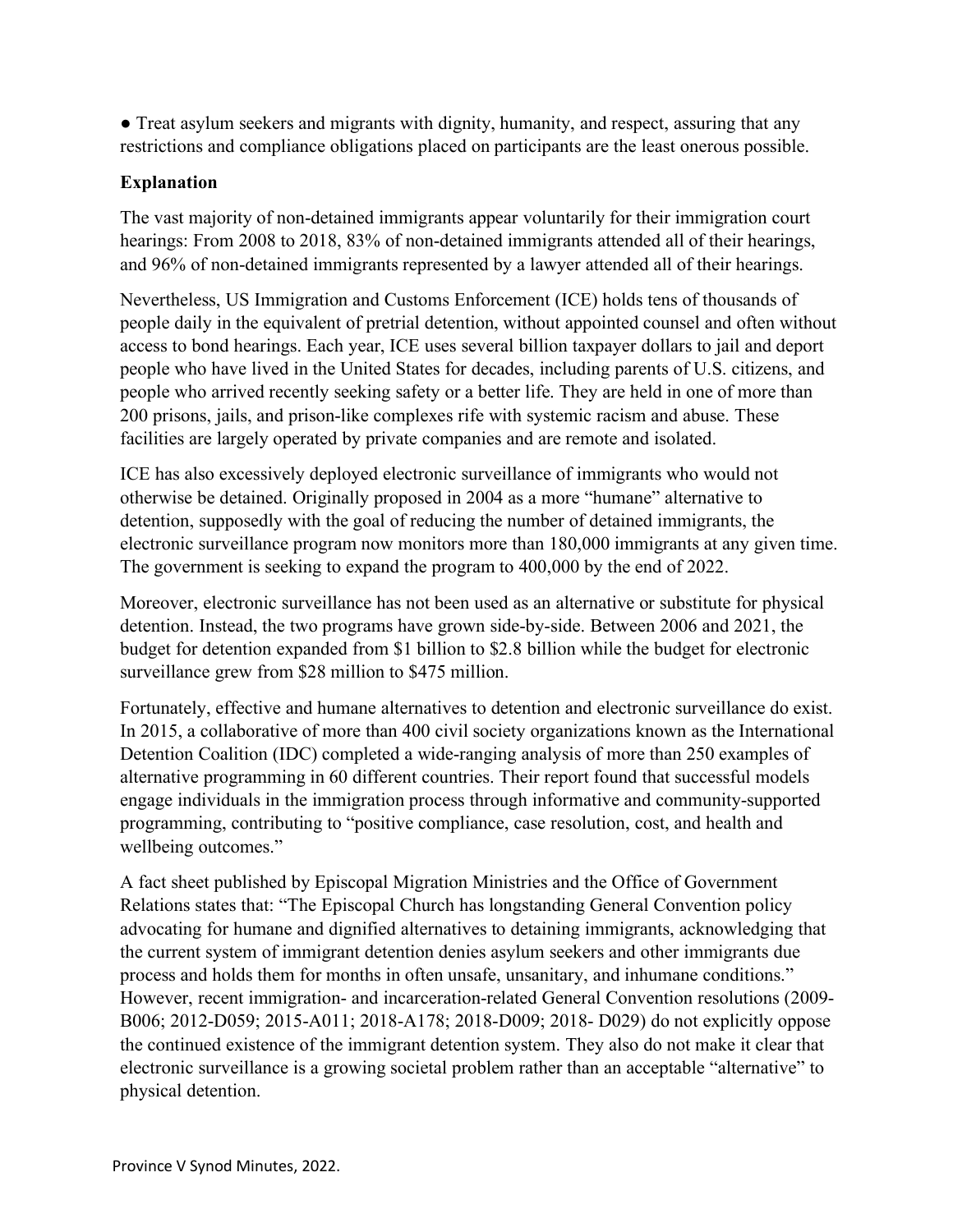• Treat asylum seekers and migrants with dignity, humanity, and respect, assuring that any restrictions and compliance obligations placed on participants are the least onerous possible.

# **Explanation**

The vast majority of non-detained immigrants appear voluntarily for their immigration court hearings: From 2008 to 2018, 83% of non-detained immigrants attended all of their hearings, and 96% of non-detained immigrants represented by a lawyer attended all of their hearings.

Nevertheless, US Immigration and Customs Enforcement (ICE) holds tens of thousands of people daily in the equivalent of pretrial detention, without appointed counsel and often without access to bond hearings. Each year, ICE uses several billion taxpayer dollars to jail and deport people who have lived in the United States for decades, including parents of U.S. citizens, and people who arrived recently seeking safety or a better life. They are held in one of more than 200 prisons, jails, and prison-like complexes rife with systemic racism and abuse. These facilities are largely operated by private companies and are remote and isolated.

ICE has also excessively deployed electronic surveillance of immigrants who would not otherwise be detained. Originally proposed in 2004 as a more "humane" alternative to detention, supposedly with the goal of reducing the number of detained immigrants, the electronic surveillance program now monitors more than 180,000 immigrants at any given time. The government is seeking to expand the program to 400,000 by the end of 2022.

Moreover, electronic surveillance has not been used as an alternative or substitute for physical detention. Instead, the two programs have grown side-by-side. Between 2006 and 2021, the budget for detention expanded from \$1 billion to \$2.8 billion while the budget for electronic surveillance grew from \$28 million to \$475 million.

Fortunately, effective and humane alternatives to detention and electronic surveillance do exist. In 2015, a collaborative of more than 400 civil society organizations known as the International Detention Coalition (IDC) completed a wide-ranging analysis of more than 250 examples of alternative programming in 60 different countries. Their report found that successful models engage individuals in the immigration process through informative and community-supported programming, contributing to "positive compliance, case resolution, cost, and health and wellbeing outcomes."

A fact sheet published by Episcopal Migration Ministries and the Office of Government Relations states that: "The Episcopal Church has longstanding General Convention policy advocating for humane and dignified alternatives to detaining immigrants, acknowledging that the current system of immigrant detention denies asylum seekers and other immigrants due process and holds them for months in often unsafe, unsanitary, and inhumane conditions." However, recent immigration- and incarceration-related General Convention resolutions (2009- B006; 2012-D059; 2015-A011; 2018-A178; 2018-D009; 2018- D029) do not explicitly oppose the continued existence of the immigrant detention system. They also do not make it clear that electronic surveillance is a growing societal problem rather than an acceptable "alternative" to physical detention.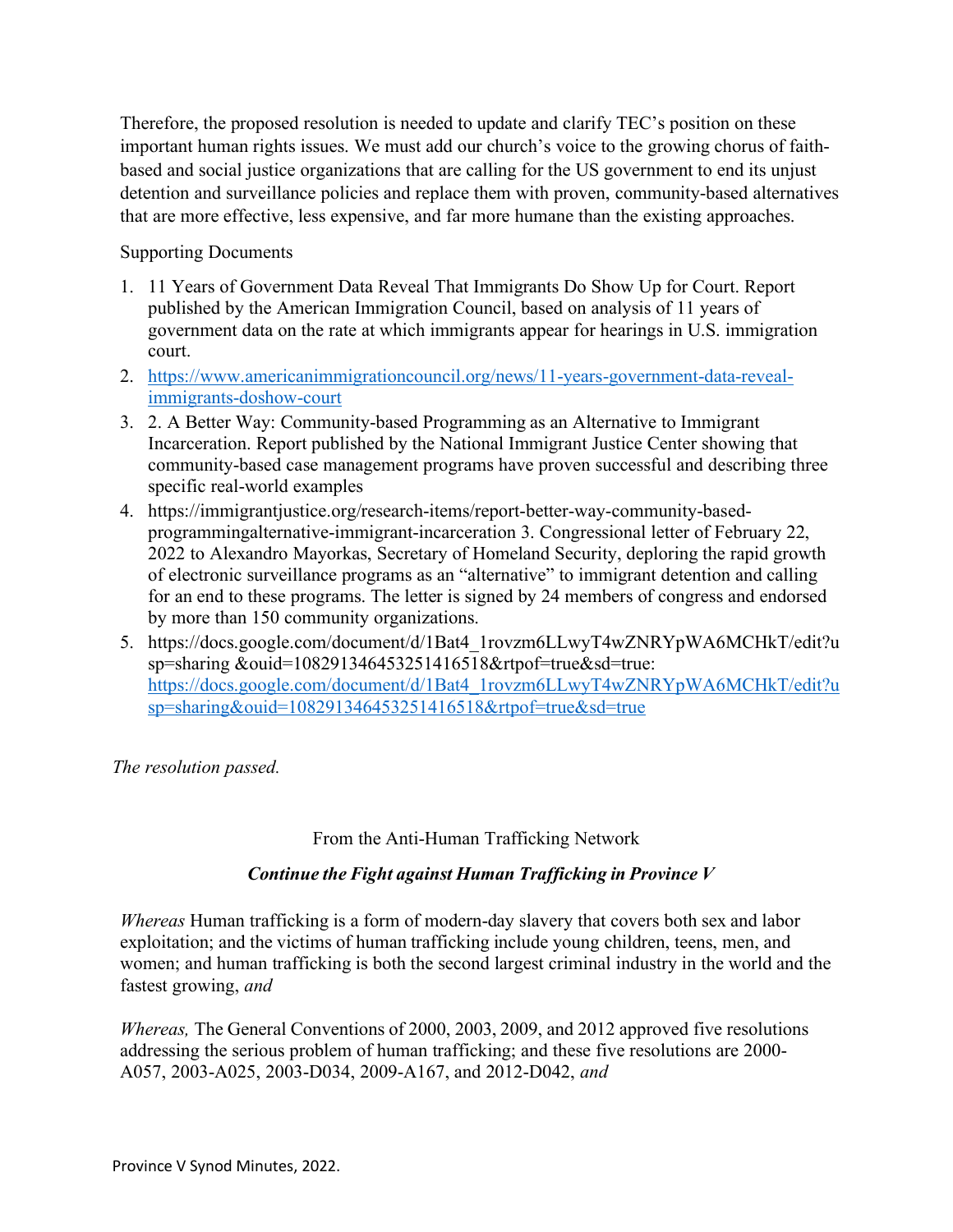Therefore, the proposed resolution is needed to update and clarify TEC's position on these important human rights issues. We must add our church's voice to the growing chorus of faithbased and social justice organizations that are calling for the US government to end its unjust detention and surveillance policies and replace them with proven, community-based alternatives that are more effective, less expensive, and far more humane than the existing approaches.

Supporting Documents

- 1. 11 Years of Government Data Reveal That Immigrants Do Show Up for Court. Report published by the American Immigration Council, based on analysis of 11 years of government data on the rate at which immigrants appear for hearings in U.S. immigration court.
- 2. https://www.americanimmigrationcouncil.org/news/11-years-government-data-revealimmigrants-doshow-court
- 3. 2. A Better Way: Community-based Programming as an Alternative to Immigrant Incarceration. Report published by the National Immigrant Justice Center showing that community-based case management programs have proven successful and describing three specific real-world examples
- 4. https://immigrantjustice.org/research-items/report-better-way-community-basedprogrammingalternative-immigrant-incarceration 3. Congressional letter of February 22, 2022 to Alexandro Mayorkas, Secretary of Homeland Security, deploring the rapid growth of electronic surveillance programs as an "alternative" to immigrant detention and calling for an end to these programs. The letter is signed by 24 members of congress and endorsed by more than 150 community organizations.
- 5. https://docs.google.com/document/d/1Bat4\_1rovzm6LLwyT4wZNRYpWA6MCHkT/edit?u sp=sharing &ouid=108291346453251416518&rtpof=true&sd=true: https://docs.google.com/document/d/1Bat4\_1rovzm6LLwyT4wZNRYpWA6MCHkT/edit?u sp=sharing&ouid=108291346453251416518&rtpof=true&sd=true

*The resolution passed.*

# From the Anti-Human Trafficking Network

### *Continue the Fight against Human Trafficking in Province V*

*Whereas* Human trafficking is a form of modern-day slavery that covers both sex and labor exploitation; and the victims of human trafficking include young children, teens, men, and women; and human trafficking is both the second largest criminal industry in the world and the fastest growing, *and*

*Whereas,* The General Conventions of 2000, 2003, 2009, and 2012 approved five resolutions addressing the serious problem of human trafficking; and these five resolutions are 2000- A057, 2003-A025, 2003-D034, 2009-A167, and 2012-D042, *and*